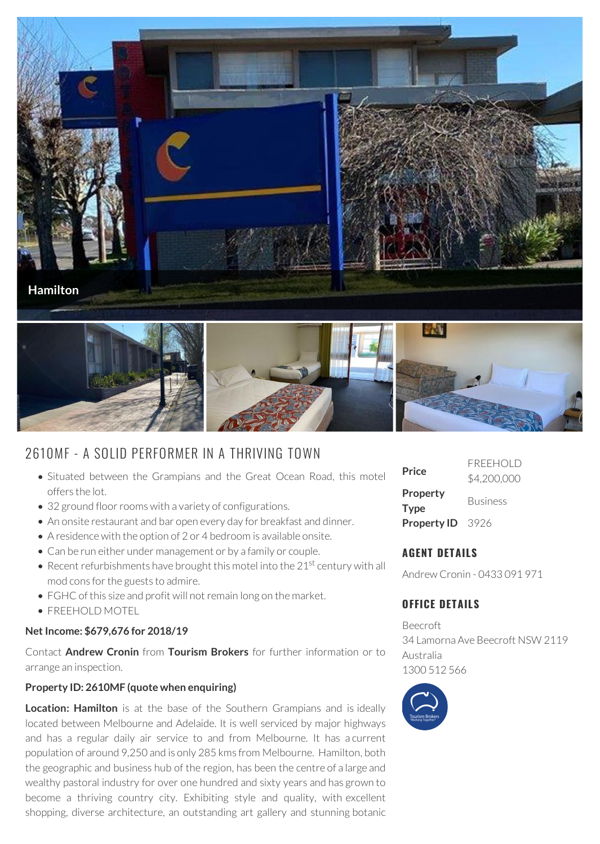

# 2610MF - A SOLID PERFORMER IN A THRIVING TOWN

- Situated between the Grampians and the Great Ocean Road, this motel offers the lot.
- 32 ground floor rooms with a variety of configurations.
- An onsite restaurant and bar open every day for breakfast and dinner.
- A residence with the option of 2 or 4 bedroom is available onsite.
- Can be run either under management or by a family or couple.
- Recent refurbishments have brought this motel into the 21<sup>st</sup> century with all mod cons for the guests to admire.
- FGHC of this size and profit will not remain long on the market.
- FREEHOLD MOTEL

## **Net Income: \$679,676 for 2018/19**

Contact **Andrew Cronin** from **Tourism Brokers** for further information or to arrange an inspection.

## **Property ID: 2610MF (quote when enquiring)**

**Location: Hamilton** is at the base of the Southern Grampians and is ideally located between Melbourne and Adelaide. It is well serviced by major highways and has a regular daily air service to and from Melbourne. It has a current population of around 9,250 and is only 285 kms from Melbourne. Hamilton, both the geographic and business hub of the region, has been the centre of a large and wealthy pastoral industry for over one hundred and sixty years and has grown to become a thriving country city. Exhibiting style and quality, with excellent shopping, diverse architecture, an outstanding art gallery and stunning botanic

| Price                   | <b>FREEHOLD</b><br>\$4,200,000 |
|-------------------------|--------------------------------|
| Property<br>Type        | <b>Business</b>                |
| <b>Property ID</b> 3926 |                                |

## **AGENT DETAILS**

Andrew Cronin - 0433 091 971

## **OFFICE DETAILS**

Beecroft 34 Lamorna Ave Beecroft NSW 2119 Australia 1300 512 566